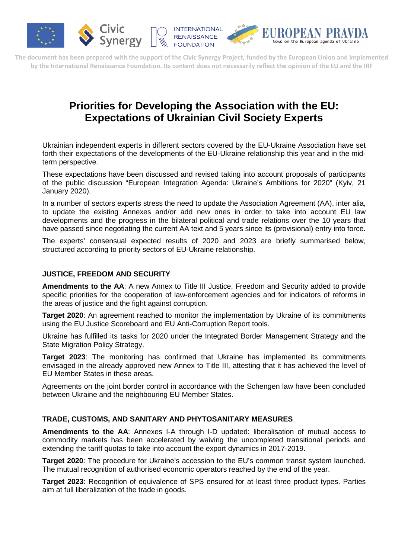



**The document has been prepared with the support of the Civic Synergy Project, funded by the European Union and implemented by the International Renaissance Foundation. Its content does not necessarily reflect the opinion of the EU and the IRF**

# **Priorities for Developing the Association with the EU: Expectations of Ukrainian Civil Society Experts**

Ukrainian independent experts in different sectors covered by the EU-Ukraine Association have set forth their expectations of the developments of the EU-Ukraine relationship this year and in the midterm perspective.

These expectations have been discussed and revised taking into account proposals of participants of the public discussion "European Integration Agenda: Ukraine's Ambitions for 2020" (Kyiv, 21 January 2020).

In a number of sectors experts stress the need to update the Association Agreement (AA), inter alia, to update the existing Annexes and/or add new ones in order to take into account EU law developments and the progress in the bilateral political and trade relations over the 10 years that have passed since negotiating the current AA text and 5 years since its (provisional) entry into force.

The experts' consensual expected results of 2020 and 2023 are briefly summarised below, structured according to priority sectors of EU-Ukraine relationship.

## **JUSTICE, FREEDOM AND SECURITY**

**Amendments to the AA**: A new Annex to Title III Justice, Freedom and Security added to provide specific priorities for the cooperation of law-enforcement agencies and for indicators of reforms in the areas of justice and the fight against corruption.

**Target 2020**: An agreement reached to monitor the implementation by Ukraine of its commitments using the EU Justice Scoreboard and EU Anti-Corruption Report tools.

Ukraine has fulfilled its tasks for 2020 under the Integrated Border Management Strategy and the State Migration Policy Strategy.

**Target 2023**: The monitoring has confirmed that Ukraine has implemented its commitments envisaged in the already approved new Annex to Title III, attesting that it has achieved the level of EU Member States in these areas.

Agreements on the joint border control in accordance with the Schengen law have been concluded between Ukraine and the neighbouring EU Member States.

## **TRADE, CUSTOMS, AND SANITARY AND PHYTOSANITARY MEASURES**

**Amendments to the AA**: Annexes I-A through I-D updated: liberalisation of mutual access to commodity markets has been accelerated by waiving the uncompleted transitional periods and extending the tariff quotas to take into account the export dynamics in 2017-2019.

**Target 2020**: The procedure for Ukraine's accession to the EU's common transit system launched. The mutual recognition of authorised economic operators reached by the end of the year.

**Target 2023**: Recognition of equivalence of SPS ensured for at least three product types. Parties aim at full liberalization of the trade in goods.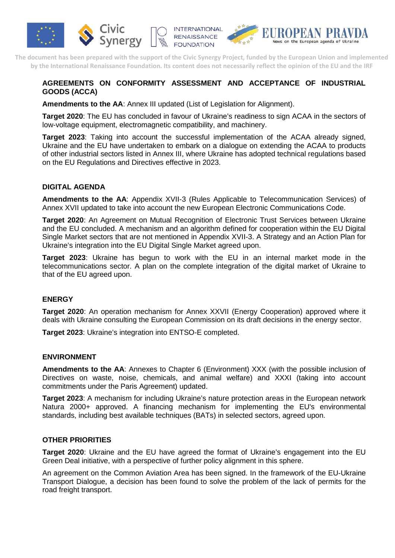

**The document has been prepared with the support of the Civic Synergy Project, funded by the European Union and implemented by the International Renaissance Foundation. Its content does not necessarily reflect the opinion of the EU and the IRF**

# **AGREEMENTS ON CONFORMITY ASSESSMENT AND ACCEPTANCE OF INDUSTRIAL GOODS (ACCA)**

**Amendments to the AA**: Annex III updated (List of Legislation for Alignment).

**Target 2020**: The EU has concluded in favour of Ukraine's readiness to sign ACAA in the sectors of low-voltage equipment, electromagnetic compatibility, and machinery.

**Target 2023**: Taking into account the successful implementation of the ACAA already signed, Ukraine and the EU have undertaken to embark on a dialogue on extending the ACAA to products of other industrial sectors listed in Annex III, where Ukraine has adopted technical regulations based on the EU Regulations and Directives effective in 2023.

## **DIGITAL AGENDA**

**Amendments to the AA**: Appendix XVII-3 (Rules Applicable to Telecommunication Services) of Annex XVII updated to take into account the new European Electronic Communications Code.

**Target 2020**: An Agreement on Mutual Recognition of Electronic Trust Services between Ukraine and the EU concluded. A mechanism and an algorithm defined for cooperation within the EU Digital Single Market sectors that are not mentioned in Appendix XVII-3. A Strategy and an Action Plan for Ukraine's integration into the EU Digital Single Market agreed upon.

**Target 2023**: Ukraine has begun to work with the EU in an internal market mode in the telecommunications sector. A plan on the complete integration of the digital market of Ukraine to that of the EU agreed upon.

#### **ENERGY**

**Target 2020**: An operation mechanism for Annex XXVII (Energy Cooperation) approved where it deals with Ukraine consulting the European Commission on its draft decisions in the energy sector.

**Target 2023**: Ukraine's integration into ENTSO-E completed.

#### **ENVIRONMENT**

**Amendments to the AA**: Annexes to Chapter 6 (Environment) XXX (with the possible inclusion of Directives on waste, noise, chemicals, and animal welfare) and XXXI (taking into account commitments under the Paris Agreement) updated.

**Target 2023**: A mechanism for including Ukraine's nature protection areas in the European network Natura 2000+ approved. A financing mechanism for implementing the EU's environmental standards, including best available techniques (BATs) in selected sectors, agreed upon.

## **OTHER PRIORITIES**

**Target 2020**: Ukraine and the EU have agreed the format of Ukraine's engagement into the EU Green Deal initiative, with a perspective of further policy alignment in this sphere.

An agreement on the Common Aviation Area has been signed. In the framework of the EU-Ukraine Transport Dialogue, a decision has been found to solve the problem of the lack of permits for the road freight transport.